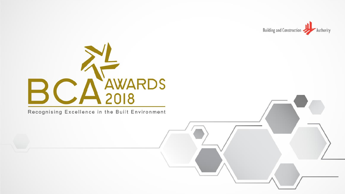



Recognising Excellence in the Built Environment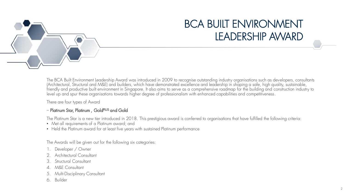

# BCA BUILT ENVIRONMENT LEADERSHIP AWARD

The BCA Built Environment Leadership Award was introduced in 2009 to recognise outstanding industry organisations such as developers, consultants (Architectural, Structural and M&E) and builders, which have demonstrated excellence and leadership in shaping a safe, high quality, sustainable, friendly and productive built environment in Singapore. It also aims to serve as a comprehensive roadmap for the building and construction industry to level up and spur these organisations towards higher degree of professionalism with enhanced capabilities and competitiveness.

There are four types of Award

#### – Platinum Star, Platinum , GoldPLUS and Gold

The Platinum Star is a new tier introduced in 2018. This prestigious award is conferred to organisations that have fulfilled the following criteria:

- Met all requirements of a Platinum award; and
- Held the Platinum award for at least five years with sustained Platinum performance

The Awards will be given out for the following six categories:

- Developer / Owner
- 2. Architectural Consultant
- 3. Structural Consultant
- 4. M&E Consultant
- 5. Multi-Disciplinary Consultant
- 6. Builder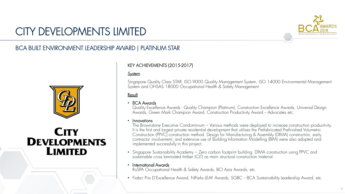

# CITY DEVELOPMENTS LIMITED

### BCA BUILT ENVIRONMENT LEADERSHIP AWARD | PLATINUM STAR



## **CITY DEVELOPMENTS LIMITED**

#### KEY ACHIEVEMENTS (2015-2017)

#### **System**

Singapore Quality Class STAR, ISO 9000 Quality Management System, ISO 14000 Environmental Management System and OHSAS 18000 Occupational Health & Safety Management.

**Result** 

#### • BCA Awards

Quality Excellence Awards - Quality Champion (Platinum), Construction Excellence Awards, Universal Design Awards, Green Mark Champion Award, Construction Productivity Award - Advocates etc.

#### • Innovations

The Brownstone Executive Condominium – Various methods were deployed to increase construction productivity. It is the first and largest private residential development that utilises the Prefabricated Prefinished Volumetric Construction (PPVC) construction method. Design for Manufacturing & Assembly (DfMA) construction, early contractor involvement, and extensive use of Building Information Modelling (BIM) were also adopted and implemented successfully in this project.

• Singapore Sustainability Academy – Zero carbon footprint building. DfMA construction using PPVC and sustainable cross laminated timber (CLT) as main structural construction material.

#### • International Awards

RoSPA Occupational Health & Safety Awards, BCI Asia Awards, etc.

• Fiabci Prix D'Excellence Award, NParks LEAF Awards, SGBC - BCA Sustainability Leadership Award, etc.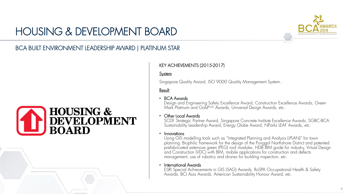# HOUSING & DEVELOPMENT BOARD



### BCA BUILT ENVIRONMENT LEADERSHIP AWARD | PLATINUM STAR

# **HOUSING & DEVELOPMENT BOARD**

### KEY ACHIEVEMENTS (2015-2017)

#### **System**

Singapore Quality Award, ISO 9000 Quality Management System..

#### Result

#### • BCA Awards

Design and Engineering Safety Excellence Award, Construction Excellence Awards, Green Mark Platinum and GoldPLUS Awards, Universal Design Awards, etc.

#### • Other Local Awards

SCDF Strategic Partner Award, Singapore Concrete Institute Excellence Awards, SGBC-BCA Sustainability Leadership Award, Energy Globe Award, NParks LEAF Awards, etc.

#### • Innovations

Using GIS modelling tools such as "Integrated Planning and Analysis (iPLAN)" for town planning. Biophilic framework for the design of the Punggol Northshore District and patented prefabricated extensive green (PEG) roof modules. HDB BIM guide for industry, Virtual Design and Construction (VDC) with BIM, mobile applications for construction and defects management, use of robotics and drones for building inspection, etc.

#### • International Awards

ESRI Special Achievements in GIS (SAG) Awards, RoSPA Occupational Health & Safety Awards, BCI Asia Awards, American Sustainability Honour Award, etc.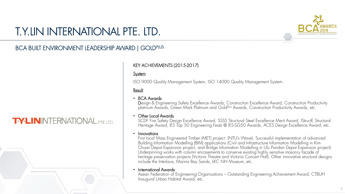

# T.Y.LIN INTERNATIONAL PTE. LTD.

### BCA BUILT ENVIRONMENT LEADERSHIP AWARD | GOLD<sup>PLUS</sup>

## **TYLININTERNATIONAL PTE.LTD.**

#### KEY ACHIEVEMENTS (2015-2017)

#### **System**

ISO 9000 Quality Management System, ISO 14000 Quality Management System.

#### Result

#### • BCA Awards

Design & Engineering Safety Excellence Awards, Construction Excellence Award, Construction Productivity platinum Awards, Green Mark Platinum and GoldPlus Awards, Construction Productivity Awards, etc.

#### • Other Local Awards

SCDF Fire Safety Design Excellence Award, SSSS Structural Steel Excellence Merit Award, IStructE Structural Heritage Award, IES Top 50 Engineering Feats @ IES-SG50 Awards, ACES Design Excellence Award, etc.

#### • Innovations

First local Mass Engineered Timber (MET) project (NTU's Wave). Successful implementation of advanced Building Information Modelling (BIM) applications (Civil and Infrastructure Information Modelling in Kim Chuan Depot Expansion project, and Bridge Information Modelling in Ulu Pandan Depot Expansion project). Underpinning works with column encasements to conserve existing highly sensitive masonry façade of heritage preservation projects (Victoria Theatre and Victoria Concert Hall). Other innovative structural designs include the Interlace, Marina Bay Sands, LKC NH Museum, etc.

#### • International Awards

Asean Federation of Engineering Organisations – Outstanding Engineering Achievement Award, CTBUH Inaugural Urban Habitat Award, etc.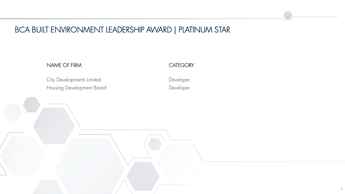### BCA BUILT ENVIRONMENT LEADERSHIP AWARD | PLATINUM STAR

#### NAME OF FIRM

Housing Development Board City Developments Limited

**CATEGORY** 

Developer Developer